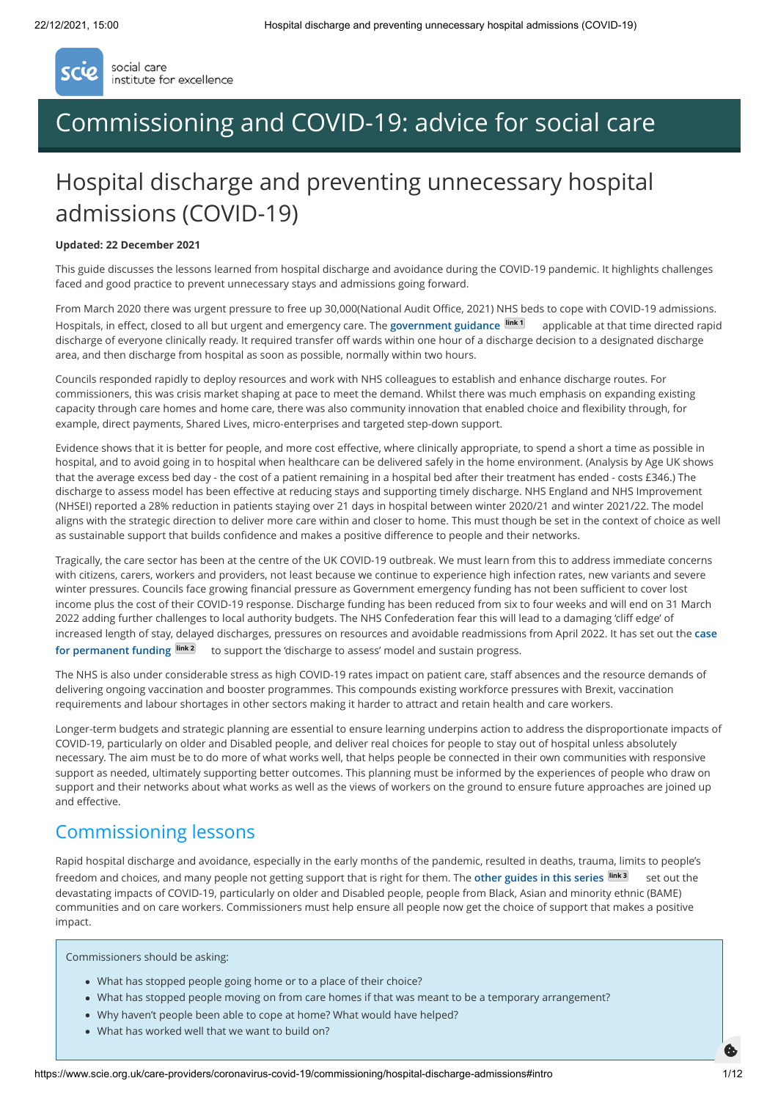

social care institute for excellence

# [Commissioning and COVID-19: advice for social care](https://www.scie.org.uk/care-providers/coronavirus-covid-19/commissioning)

# Hospital discharge and preventing unnecessary hospital admissions (COVID-19)

#### **Updated: 22 December 2021**

This guide discusses the lessons learned from hospital discharge and avoidance during the COVID-19 pandemic. It highlights challenges faced and good practice to prevent unnecessary stays and admissions going forward.

From March 2020 there was urgent pressure to free up 30,000(National Audit Office, 2021) NHS beds to cope with COVID-19 admissions. Hospitals, in effect, closed to all but urgent and emergency care. The **[government guidance](https://www.gov.uk/government/publications/coronavirus-covid-19-hospital-discharge-service-requirements) link 1** applicable at that time directed rapid discharge of everyone clinically ready. It required transfer off wards within one hour of a discharge decision to a designated discharge area, and then discharge from hospital as soon as possible, normally within two hours.

Councils responded rapidly to deploy resources and work with NHS colleagues to establish and enhance discharge routes. For commissioners, this was crisis market shaping at pace to meet the demand. Whilst there was much emphasis on expanding existing capacity through care homes and home care, there was also community innovation that enabled choice and flexibility through, for example, direct payments, Shared Lives, micro-enterprises and targeted step-down support.

Evidence shows that it is better for people, and more cost effective, where clinically appropriate, to spend a short a time as possible in hospital, and to avoid going in to hospital when healthcare can be delivered safely in the home environment. (Analysis by Age UK shows that the average excess bed day - the cost of a patient remaining in a hospital bed after their treatment has ended - costs £346.) The discharge to assess model has been effective at reducing stays and supporting timely discharge. NHS England and NHS Improvement (NHSEI) reported a 28% reduction in patients staying over 21 days in hospital between winter 2020/21 and winter 2021/22. The model aligns with the strategic direction to deliver more care within and closer to home. This must though be set in the context of choice as well as sustainable support that builds confidence and makes a positive difference to people and their networks.

Tragically, the care sector has been at the centre of the UK COVID-19 outbreak. We must learn from this to address immediate concerns with citizens, carers, workers and providers, not least because we continue to experience high infection rates, new variants and severe winter pressures. Councils face growing financial pressure as Government emergency funding has not been sufficient to cover lost income plus the cost of their COVID-19 response. Discharge funding has been reduced from six to four weeks and will end on 31 March 2022 adding further challenges to local authority budgets. The NHS Confederation fear this will lead to a damaging 'cliff edge' of [increased length of stay, delayed discharges, pressures on resources and avoidable readmissions from April 2022. It has set out the](https://www.nhsconfed.org/sites/default/files/2021-07/Discharge-to-assess-funding-briefing-for-HMT.pdf) **case** for permanent funding **link 2** to support the 'discharge to assess' model and sustain progress.

The NHS is also under considerable stress as high COVID-19 rates impact on patient care, staff absences and the resource demands of delivering ongoing vaccination and booster programmes. This compounds existing workforce pressures with Brexit, vaccination requirements and labour shortages in other sectors making it harder to attract and retain health and care workers.

Longer-term budgets and strategic planning are essential to ensure learning underpins action to address the disproportionate impacts of COVID-19, particularly on older and Disabled people, and deliver real choices for people to stay out of hospital unless absolutely necessary. The aim must be to do more of what works well, that helps people be connected in their own communities with responsive support as needed, ultimately supporting better outcomes. This planning must be informed by the experiences of people who draw on support and their networks about what works as well as the views of workers on the ground to ensure future approaches are joined up and effective.

# Commissioning lessons

Rapid hospital discharge and avoidance, especially in the early months of the pandemic, resulted in deaths, trauma, limits to people's freedom and choices, and many people not getting support that is right for them. The **[other guides in this series](https://www.scie.org.uk/care-providers/coronavirus-covid-19/commissioning) link 3** set out the devastating impacts of COVID-19, particularly on older and Disabled people, people from Black, Asian and minority ethnic (BAME) communities and on care workers. Commissioners must help ensure all people now get the choice of support that makes a positive impact.

Commissioners should be asking:

- What has stopped people going home or to a place of their choice?
- What has stopped people moving on from care homes if that was meant to be a temporary arrangement?
- Why haven't people been able to cope at home? What would have helped?
- What has worked well that we want to build on?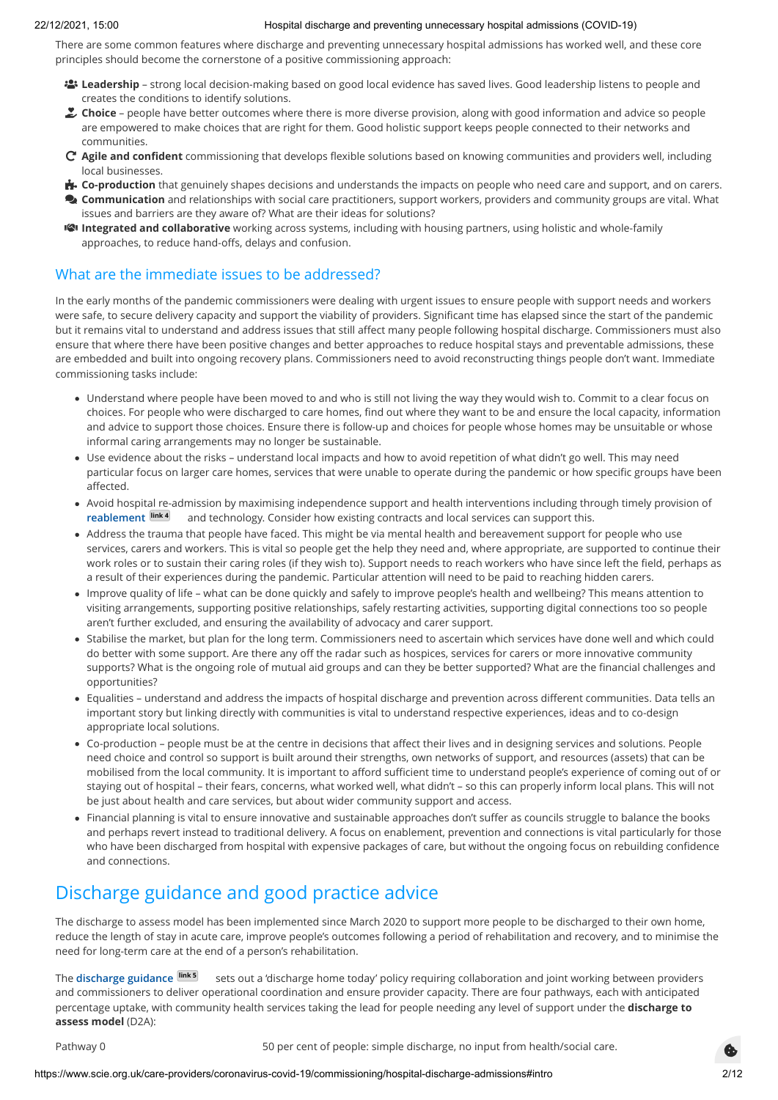There are some common features where discharge and preventing unnecessary hospital admissions has worked well, and these core principles should become the cornerstone of a positive commissioning approach:

- **Leadership** strong local decision-making based on good local evidence has saved lives. Good leadership listens to people and creates the conditions to identify solutions.
- **Choice** people have better outcomes where there is more diverse provision, along with good information and advice so people are empowered to make choices that are right for them. Good holistic support keeps people connected to their networks and communities.
- **Agile and confident** commissioning that develops flexible solutions based on knowing communities and providers well, including local businesses.
- **E.** Co-production that genuinely shapes decisions and understands the impacts on people who need care and support, and on carers.
- **Communication** and relationships with social care practitioners, support workers, providers and community groups are vital. What issues and barriers are they aware of? What are their ideas for solutions?
- **Integrated and collaborative** working across systems, including with housing partners, using holistic and whole-family approaches, to reduce hand-offs, delays and confusion.

# What are the immediate issues to be addressed?

In the early months of the pandemic commissioners were dealing with urgent issues to ensure people with support needs and workers were safe, to secure delivery capacity and support the viability of providers. Significant time has elapsed since the start of the pandemic but it remains vital to understand and address issues that still affect many people following hospital discharge. Commissioners must also ensure that where there have been positive changes and better approaches to reduce hospital stays and preventable admissions, these are embedded and built into ongoing recovery plans. Commissioners need to avoid reconstructing things people don't want. Immediate commissioning tasks include:

- Understand where people have been moved to and who is still not living the way they would wish to. Commit to a clear focus on choices. For people who were discharged to care homes, find out where they want to be and ensure the local capacity, information and advice to support those choices. Ensure there is follow-up and choices for people whose homes may be unsuitable or whose informal caring arrangements may no longer be sustainable.
- Use evidence about the risks understand local impacts and how to avoid repetition of what didn't go well. This may need particular focus on larger care homes, services that were unable to operate during the pandemic or how specific groups have been affected.
- Avoid hospital re-admission by maximising independence support and health interventions including through timely provision of **[reablement](https://www.scie.org.uk/reablement) link 4** and technology. Consider how existing contracts and local services can support this.
- Address the trauma that people have faced. This might be via mental health and bereavement support for people who use services, carers and workers. This is vital so people get the help they need and, where appropriate, are supported to continue their work roles or to sustain their caring roles (if they wish to). Support needs to reach workers who have since left the field, perhaps as a result of their experiences during the pandemic. Particular attention will need to be paid to reaching hidden carers.
- Improve quality of life what can be done quickly and safely to improve people's health and wellbeing? This means attention to visiting arrangements, supporting positive relationships, safely restarting activities, supporting digital connections too so people aren't further excluded, and ensuring the availability of advocacy and carer support.
- Stabilise the market, but plan for the long term. Commissioners need to ascertain which services have done well and which could do better with some support. Are there any off the radar such as hospices, services for carers or more innovative community supports? What is the ongoing role of mutual aid groups and can they be better supported? What are the financial challenges and opportunities?
- Equalities understand and address the impacts of hospital discharge and prevention across different communities. Data tells an important story but linking directly with communities is vital to understand respective experiences, ideas and to co-design appropriate local solutions.
- Co-production people must be at the centre in decisions that affect their lives and in designing services and solutions. People need choice and control so support is built around their strengths, own networks of support, and resources (assets) that can be mobilised from the local community. It is important to afford sufficient time to understand people's experience of coming out of or staying out of hospital – their fears, concerns, what worked well, what didn't – so this can properly inform local plans. This will not be just about health and care services, but about wider community support and access.
- Financial planning is vital to ensure innovative and sustainable approaches don't suffer as councils struggle to balance the books and perhaps revert instead to traditional delivery. A focus on enablement, prevention and connections is vital particularly for those who have been discharged from hospital with expensive packages of care, but without the ongoing focus on rebuilding confidence and connections.

# Discharge guidance and good practice advice

The discharge to assess model has been implemented since March 2020 to support more people to be discharged to their own home, reduce the length of stay in acute care, improve people's outcomes following a period of rehabilitation and recovery, and to minimise the need for long-term care at the end of a person's rehabilitation.

The [discharge guidance](https://www.gov.uk/government/collections/hospital-discharge-service-guidance) **link<sup>5</sup>** sets out a 'discharge home today' policy requiring collaboration and joint working between providers and commissioners to deliver operational coordination and ensure provider capacity. There are four pathways, each with anticipated percentage uptake, with community health services taking the lead for people needing any level of support under the **discharge to assess model** (D2A):

Pathway 0 60 per cent of people: simple discharge, no input from health/social care.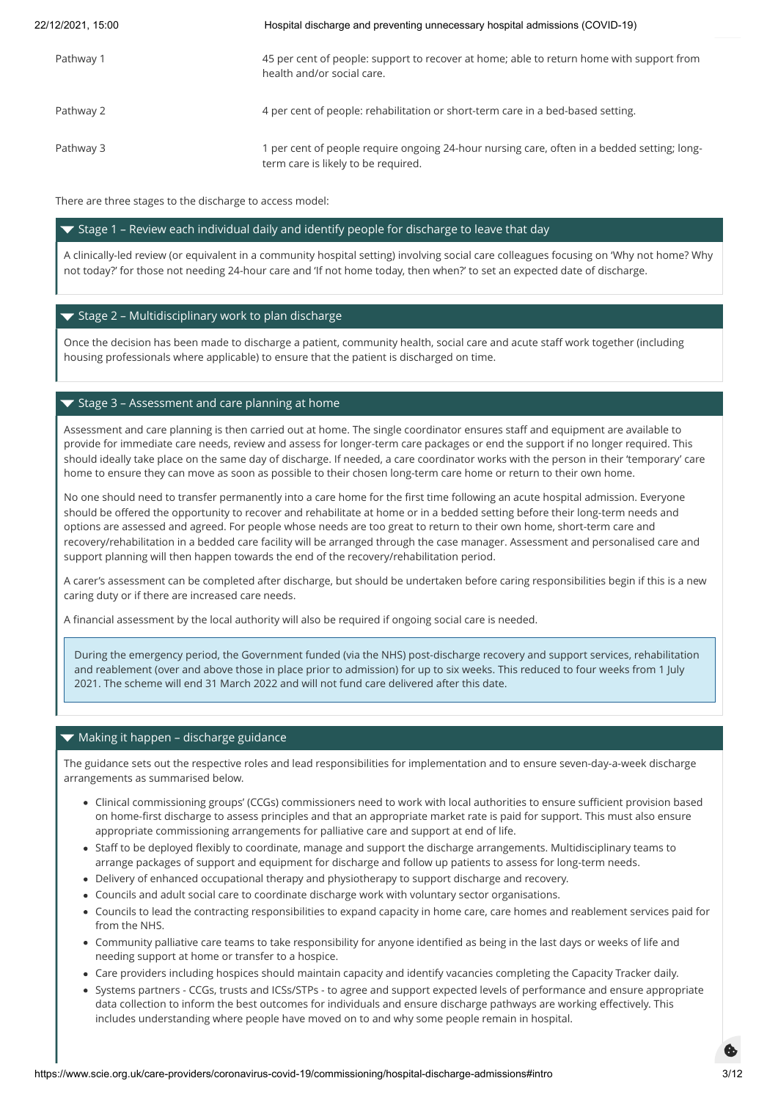Pathway 1 1 and 45 per cent of people: support to recover at home; able to return home with support from health and/or social care.

Pathway 2 4 per cent of people: rehabilitation or short-term care in a bed-based setting.

Pathway 3 1 per cent of people require ongoing 24-hour nursing care, often in a bedded setting; longterm care is likely to be required.

There are three stages to the discharge to access model:

## $\blacktriangledown$  Stage 1 – Review each individual daily and identify people for discharge to leave that day

A clinically-led review (or equivalent in a community hospital setting) involving social care colleagues focusing on 'Why not home? Why not today?' for those not needing 24-hour care and 'If not home today, then when?' to set an expected date of discharge.

## $\blacktriangledown$  Stage 2 – Multidisciplinary work to plan discharge

Once the decision has been made to discharge a patient, community health, social care and acute staff work together (including housing professionals where applicable) to ensure that the patient is discharged on time.

### $\blacktriangledown$  Stage 3 – Assessment and care planning at home

Assessment and care planning is then carried out at home. The single coordinator ensures staff and equipment are available to provide for immediate care needs, review and assess for longer-term care packages or end the support if no longer required. This should ideally take place on the same day of discharge. If needed, a care coordinator works with the person in their 'temporary' care home to ensure they can move as soon as possible to their chosen long-term care home or return to their own home.

No one should need to transfer permanently into a care home for the first time following an acute hospital admission. Everyone should be offered the opportunity to recover and rehabilitate at home or in a bedded setting before their long-term needs and options are assessed and agreed. For people whose needs are too great to return to their own home, short-term care and recovery/rehabilitation in a bedded care facility will be arranged through the case manager. Assessment and personalised care and support planning will then happen towards the end of the recovery/rehabilitation period.

A carer's assessment can be completed after discharge, but should be undertaken before caring responsibilities begin if this is a new caring duty or if there are increased care needs.

A financial assessment by the local authority will also be required if ongoing social care is needed.

During the emergency period, the Government funded (via the NHS) post-discharge recovery and support services, rehabilitation and reablement (over and above those in place prior to admission) for up to six weeks. This reduced to four weeks from 1 July 2021. The scheme will end 31 March 2022 and will not fund care delivered after this date.

### ▼ Making it happen - discharge guidance

The guidance sets out the respective roles and lead responsibilities for implementation and to ensure seven-day-a-week discharge arrangements as summarised below.

- Clinical commissioning groups' (CCGs) commissioners need to work with local authorities to ensure sufficient provision based on home-first discharge to assess principles and that an appropriate market rate is paid for support. This must also ensure appropriate commissioning arrangements for palliative care and support at end of life.
- Staff to be deployed flexibly to coordinate, manage and support the discharge arrangements. Multidisciplinary teams to arrange packages of support and equipment for discharge and follow up patients to assess for long-term needs.
- Delivery of enhanced occupational therapy and physiotherapy to support discharge and recovery.
- Councils and adult social care to coordinate discharge work with voluntary sector organisations.
- Councils to lead the contracting responsibilities to expand capacity in home care, care homes and reablement services paid for from the NHS.
- Community palliative care teams to take responsibility for anyone identified as being in the last days or weeks of life and needing support at home or transfer to a hospice.
- Care providers including hospices should maintain capacity and identify vacancies completing the Capacity Tracker daily.
- Systems partners CCGs, trusts and ICSs/STPs to agree and support expected levels of performance and ensure appropriate data collection to inform the best outcomes for individuals and ensure discharge pathways are working effectively. This includes understanding where people have moved on to and why some people remain in hospital.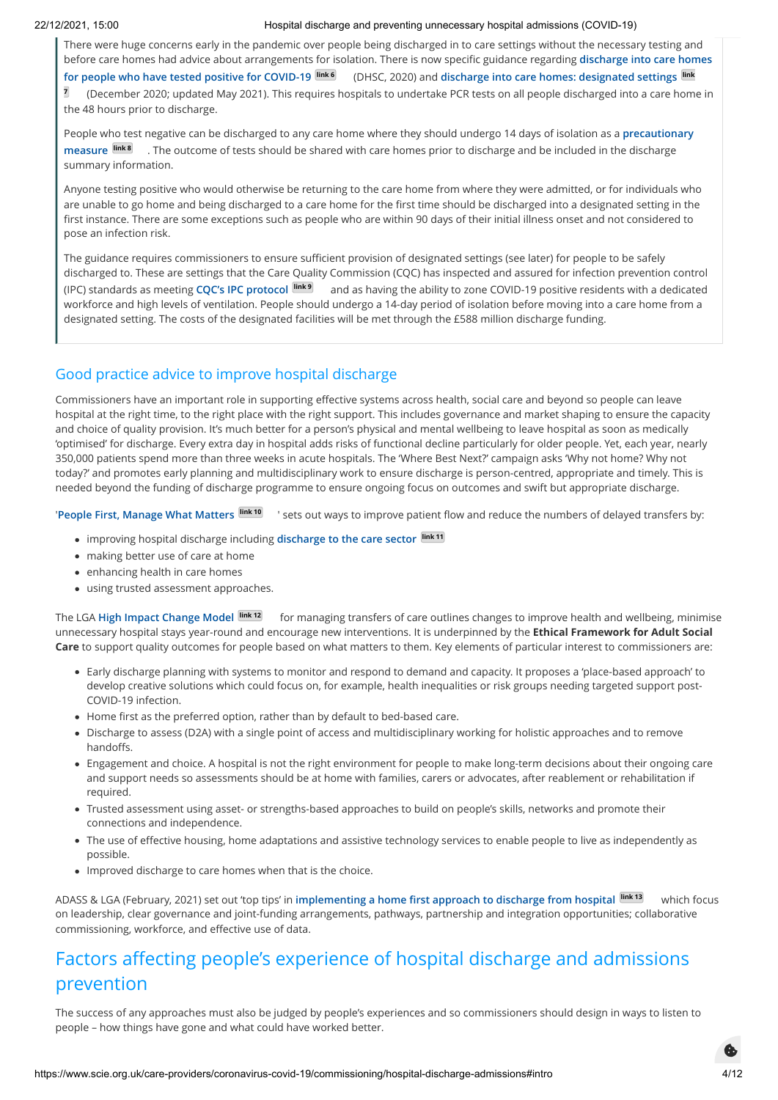There were huge concerns early in the pandemic over people being discharged in to care settings without the necessary testing and [before care homes had advice about arrangements for isolation. There is now specific guidance regarding](https://www.gov.uk/government/publications/designated-settings-for-people-discharged-to-a-care-home/discharge-into-care-homes-for-people-who-have-tested-positive-for-covid-19) **discharge into care homes for people who have tested positive for COVID-19 link 6** (DHSC, 2020) and **discharge into care homes: designated settings link 7**  [\(December 2020; updated May 2021\). This requires hospitals to undertake PCR tests on all people discharged into a care hom](https://www.gov.uk/government/publications/designated-settings-for-people-discharged-to-a-care-home)e in the 48 hours prior to discharge.

[People who test negative can be discharged to any care home where they should undergo 14 days of isolation as a](https://www.gov.uk/government/publications/coronavirus-covid-19-admission-and-care-of-people-in-care-homes/coronavirus-covid-19-admission-and-care-of-people-in-care-homes#section-1-admission) **precautionary measure link 8** . The outcome of tests should be shared with care homes prior to discharge and be included in the discharge summary information.

Anyone testing positive who would otherwise be returning to the care home from where they were admitted, or for individuals who are unable to go home and being discharged to a care home for the first time should be discharged into a designated setting in the first instance. There are some exceptions such as people who are within 90 days of their initial illness onset and not considered to pose an infection risk.

The guidance requires commissioners to ensure sufficient provision of designated settings (see later) for people to be safely discharged to. These are settings that the Care Quality Commission (CQC) has inspected and assured for infection prevention control (IPC) standards as meeting **[CQC's IPC protocol](https://www.cqc.org.uk/guidance-providers/residential-adult-social-care/infection-prevention-control-care-homes) link 9** and as having the ability to zone COVID-19 positive residents with a dedicated workforce and high levels of ventilation. People should undergo a 14-day period of isolation before moving into a care home from a designated setting. The costs of the designated facilities will be met through the £588 million discharge funding.

# Good practice advice to improve hospital discharge

Commissioners have an important role in supporting effective systems across health, social care and beyond so people can leave hospital at the right time, to the right place with the right support. This includes governance and market shaping to ensure the capacity and choice of quality provision. It's much better for a person's physical and mental wellbeing to leave hospital as soon as medically 'optimised' for discharge. Every extra day in hospital adds risks of functional decline particularly for older people. Yet, each year, nearly 350,000 patients spend more than three weeks in acute hospitals. The 'Where Best Next?' campaign asks 'Why not home? Why not today?' and promotes early planning and multidisciplinary work to ensure discharge is person-centred, appropriate and timely. This is needed beyond the funding of discharge programme to ensure ongoing focus on outcomes and swift but appropriate discharge.

'**[People First, Manage What Matters](https://reducingdtoc.com/) link 10** ' sets out ways to improve patient flow and reduce the numbers of delayed transfers by:

- improving hospital discharge including **[discharge to the care sector](https://www.nhs.uk/NHSEngland/keogh-review/Documents/quick-guides/Quick-Guide-Improving-hospital-discharge-into-the-care-sector.pdf) link 11**
- making better use of care at home
- enhancing health in care homes
- using trusted assessment approaches.

The LGA **[High Impact Change Model](https://www.local.gov.uk/our-support/our-improvement-offer/care-and-health-improvement/systems-resilience/refreshing-high) link 12** for managing transfers of care outlines changes to improve health and wellbeing, minimise unnecessary hospital stays year-round and encourage new interventions. It is underpinned by the **Ethical Framework for Adult Social Care** to support quality outcomes for people based on what matters to them. Key elements of particular interest to commissioners are:

- Early discharge planning with systems to monitor and respond to demand and capacity. It proposes a 'place-based approach' to develop creative solutions which could focus on, for example, health inequalities or risk groups needing targeted support post-COVID-19 infection.
- Home first as the preferred option, rather than by default to bed-based care.
- Discharge to assess (D2A) with a single point of access and multidisciplinary working for holistic approaches and to remove handoffs.
- Engagement and choice. A hospital is not the right environment for people to make long-term decisions about their ongoing care and support needs so assessments should be at home with families, carers or advocates, after reablement or rehabilitation if required.
- Trusted assessment using asset- or strengths-based approaches to build on people's skills, networks and promote their connections and independence.
- The use of effective housing, home adaptations and assistive technology services to enable people to live as independently as possible.
- Improved discharge to care homes when that is the choice.

ADASS & LGA (February, 2021) set out 'top tips' in **[implementing a home first approach to discharge from hospital](https://www.local.gov.uk/implementing-home-first-approach-discharge-hospital) link 13** which focus on leadership, clear governance and joint-funding arrangements, pathways, partnership and integration opportunities; collaborative commissioning, workforce, and effective use of data.

# Factors affecting people's experience of hospital discharge and admissions prevention

The success of any approaches must also be judged by people's experiences and so commissioners should design in ways to listen to people – how things have gone and what could have worked better.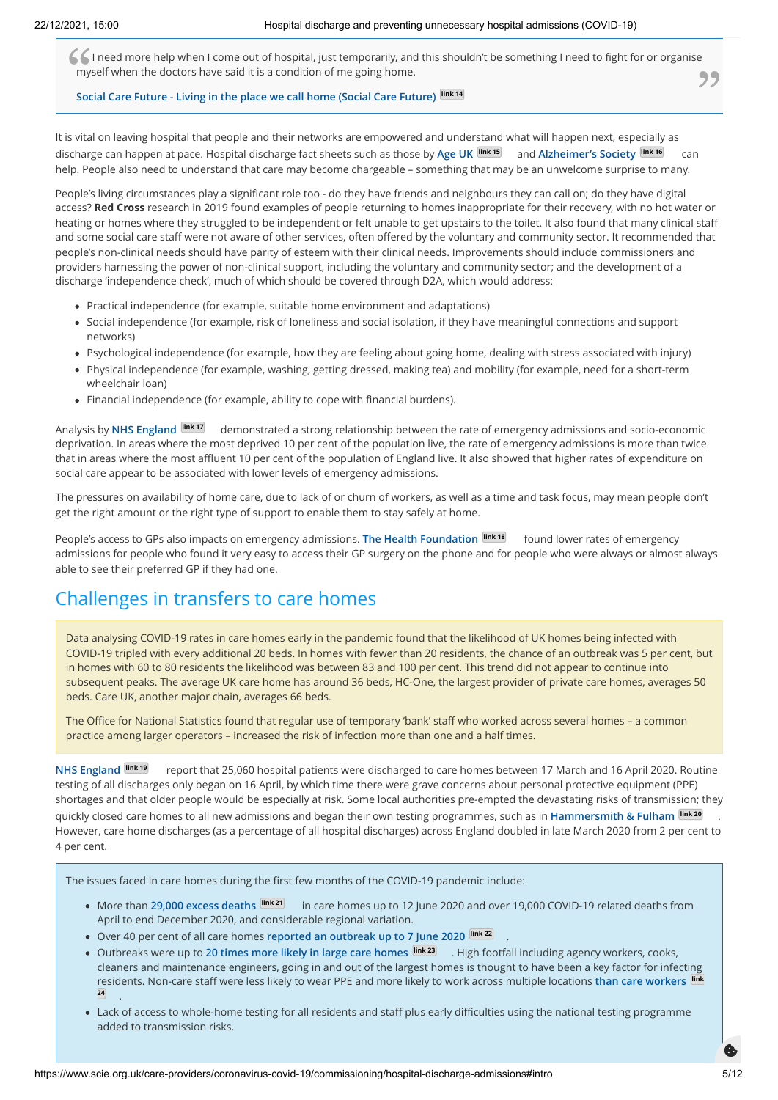**[Social Care Future - Living in the place we call home \(Social Care Future\)](https://socialcarefuture.org.uk/living-in-the-place-we-call-home/)** *link 14* Social Care Future - Living in the place we call home (Social Care Future) *link 14* **I** I need more help when I come out of hospital, just temporarily, and this shouldn't be something I need to fight for or organise myself when the doctors have said it is a condition of me going home.

 $\overline{\phantom{a}}$ 

It is vital on leaving hospital that people and their networks are empowered and understand what will happen next, especially as discharge can happen at pace. Hospital discharge fact sheets such as those by **[Age UK](https://www.ageuk.org.uk/globalassets/age-uk/documents/factsheets/fs37_hospital_discharge_fcs.pdf) link 15** and **[Alzheimer's Society](https://www.alzheimers.org.uk/get-support/help-dementia-care/hospital-discharge) link 16** can help. People also need to understand that care may become chargeable – something that may be an unwelcome surprise to many.

People's living circumstances play a significant role too - do they have friends and neighbours they can call on; do they have digital access? **Red Cross** research in 2019 found examples of people returning to homes inappropriate for their recovery, with no hot water or heating or homes where they struggled to be independent or felt unable to get upstairs to the toilet. It also found that many clinical staff and some social care staff were not aware of other services, often offered by the voluntary and community sector. It recommended that people's non-clinical needs should have parity of esteem with their clinical needs. Improvements should include commissioners and providers harnessing the power of non-clinical support, including the voluntary and community sector; and the development of a discharge 'independence check', much of which should be covered through D2A, which would address:

- Practical independence (for example, suitable home environment and adaptations)
- Social independence (for example, risk of loneliness and social isolation, if they have meaningful connections and support networks)
- Psychological independence (for example, how they are feeling about going home, dealing with stress associated with injury)
- Physical independence (for example, washing, getting dressed, making tea) and mobility (for example, need for a short-term wheelchair loan)
- Financial independence (for example, ability to cope with financial burdens).

Analysis by **[NHS England](https://www.england.nhs.uk/wp-content/uploads/2014/03/red-acsc-em-admissions.pdf) link 17** demonstrated a strong relationship between the rate of emergency admissions and socio-economic deprivation. In areas where the most deprived 10 per cent of the population live, the rate of emergency admissions is more than twice that in areas where the most affluent 10 per cent of the population of England live. It also showed that higher rates of expenditure on social care appear to be associated with lower levels of emergency admissions.

The pressures on availability of home care, due to lack of or churn of workers, as well as a time and task focus, may mean people don't get the right amount or the right type of support to enable them to stay safely at home.

People's access to GPs also impacts on emergency admissions. **[The Health Foundation](https://www.health.org.uk/publications/reducing-hospital-admissions-by-improving-continuity-of-care-in-general-practice) link 18** found lower rates of emergency admissions for people who found it very easy to access their GP surgery on the phone and for people who were always or almost always able to see their preferred GP if they had one.

# Challenges in transfers to care homes

Data analysing COVID-19 rates in care homes early in the pandemic found that the likelihood of UK homes being infected with COVID-19 tripled with every additional 20 beds. In homes with fewer than 20 residents, the chance of an outbreak was 5 per cent, but in homes with 60 to 80 residents the likelihood was between 83 and 100 per cent. This trend did not appear to continue into subsequent peaks. The average UK care home has around 36 beds, HC-One, the largest provider of private care homes, averages 50 beds. Care UK, another major chain, averages 66 beds.

The Office for National Statistics found that regular use of temporary 'bank' staff who worked across several homes – a common practice among larger operators – increased the risk of infection more than one and a half times.

**[NHS England](https://www.england.nhs.uk/statistics/statistical-work-areas/) link 19** report that 25,060 hospital patients were discharged to care homes between 17 March and 16 April 2020. Routine testing of all discharges only began on 16 April, by which time there were grave concerns about personal protective equipment (PPE) shortages and that older people would be especially at risk. Some local authorities pre-empted the devastating risks of transmission; they quickly closed care homes to all new admissions and began their own testing programmes, such as in **[Hammersmith & Fulham](https://www.lbhf.gov.uk/articles/news/2020/05/how-hf-helped-local-care-homes-control-covid-19-outbreaks-and-save-lives) link 20** . However, care home discharges (as a percentage of all hospital discharges) across England doubled in late March 2020 from 2 per cent to 4 per cent.

The issues faced in care homes during the first few months of the COVID-19 pandemic include:

- More than **[29,000 excess deaths](https://www.ons.gov.uk/peoplepopulationandcommunity/birthsdeathsandmarriages/deaths/articles/deathsinvolvingcovid19inthecaresectorenglandandwales/deathsoccurringupto12june2020andregisteredupto20june2020provisional) link 21** in care homes up to 12 June 2020 and over 19,000 COVID-19 related deaths from April to end December 2020, and considerable regional variation.
- Over 40 per cent of all care homes **[reported an outbreak up to 7 June 2020](https://assets.publishing.service.gov.uk/government/uploads/system/uploads/attachment_data/file/903085/COVID19_Care_Homes_22_July.pdf) link 22**
- Outbreaks were up to **[20 times more likely in large care homes](https://www.theguardian.com/world/2020/jul/14/covid-19-outbreaks-up-to-20-times-more-likely-in-large-care-homes-uk-study) link 23** . High footfall including agency workers, cooks, cleaners and maintenance engineers, going in and out of the largest homes is thought to have been a key factor for infecting [residents. Non-care staff were less likely to wear PPE and more likely to work across multiple locations](https://www.medrxiv.org/content/10.1101/2020.06.17.20133629v1.full.pdf) **than care workers link 24** .

.

Lack of access to whole-home testing for all residents and staff plus early difficulties using the national testing programme added to transmission risks.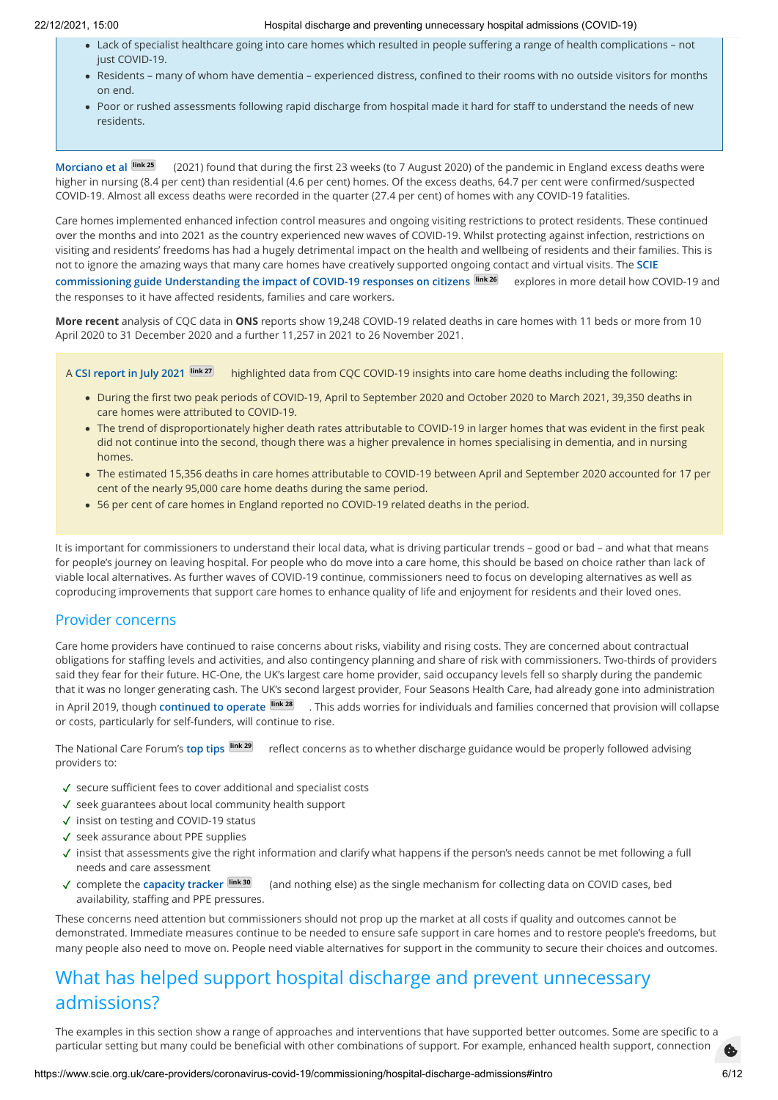- Lack of specialist healthcare going into care homes which resulted in people suffering a range of health complications not just COVID-19.
- Residents many of whom have dementia experienced distress, confined to their rooms with no outside visitors for months on end.
- Poor or rushed assessments following rapid discharge from hospital made it hard for staff to understand the needs of new residents.

**[Morciano et al](https://doi.org/10.1186/s12916-021-01945-2) link 25** (2021) found that during the first 23 weeks (to 7 August 2020) of the pandemic in England excess deaths were higher in nursing (8.4 per cent) than residential (4.6 per cent) homes. Of the excess deaths, 64.7 per cent were confirmed/suspected COVID-19. Almost all excess deaths were recorded in the quarter (27.4 per cent) of homes with any COVID-19 fatalities.

Care homes implemented enhanced infection control measures and ongoing visiting restrictions to protect residents. These continued over the months and into 2021 as the country experienced new waves of COVID-19. Whilst protecting against infection, restrictions on visiting and residents' freedoms has had a hugely detrimental impact on the health and wellbeing of residents and their families. This is [not to ignore the amazing ways that many care homes have creatively supported ongoing contact and virtual visits. The](https://www.scie.org.uk/files/care-providers/coronavirus/guides/understanding-impact-of-covid-on-citizens.pdf) **SCIE**

**commissioning guide Understanding the impact of COVID-19 responses on citizens link 26** explores in more detail how COVID-19 and the responses to it have affected residents, families and care workers.

**More recent** analysis of CQC data in **ONS** reports show 19,248 COVID-19 related deaths in care homes with 11 beds or more from 10 April 2020 to 31 December 2020 and a further 11,257 in 2021 to 26 November 2021.

A **[CSI report in July 2021](https://indd.adobe.com/view/77ab45bb-7066-42bd-9c10-3187ff7e3669) link 27** highlighted data from CQC COVID-19 insights into care home deaths including the following:

- During the first two peak periods of COVID-19, April to September 2020 and October 2020 to March 2021, 39,350 deaths in care homes were attributed to COVID-19.
- The trend of disproportionately higher death rates attributable to COVID-19 in larger homes that was evident in the first peak did not continue into the second, though there was a higher prevalence in homes specialising in dementia, and in nursing homes.
- The estimated 15,356 deaths in care homes attributable to COVID-19 between April and September 2020 accounted for 17 per cent of the nearly 95,000 care home deaths during the same period.
- 56 per cent of care homes in England reported no COVID-19 related deaths in the period.

It is important for commissioners to understand their local data, what is driving particular trends – good or bad – and what that means for people's journey on leaving hospital. For people who do move into a care home, this should be based on choice rather than lack of viable local alternatives. As further waves of COVID-19 continue, commissioners need to focus on developing alternatives as well as coproducing improvements that support care homes to enhance quality of life and enjoyment for residents and their loved ones.

### Provider concerns

Care home providers have continued to raise concerns about risks, viability and rising costs. They are concerned about contractual obligations for staffing levels and activities, and also contingency planning and share of risk with commissioners. Two-thirds of providers said they fear for their future. HC-One, the UK's largest care home provider, said occupancy levels fell so sharply during the pandemic that it was no longer generating cash. The UK's second largest provider, Four Seasons Health Care, had already gone into administration in April 2019, though **[continued to operate](https://www.bbc.co.uk/news/business-48102859#:~:text=One%20of%20Britain) link 28** . This adds worries for individuals and families concerned that provision will collapse or costs, particularly for self-funders, will continue to rise.

The National Care Forum's **[top tips](https://www.nationalcareforum.org.uk/wp-content/uploads/2020/04/TOP-TIPS-FOR-HOSPITAL-DISHCANGE-DURING-COVID-19.pdf) link 29** reflect concerns as to whether discharge guidance would be properly followed advising providers to:

- √ secure sufficient fees to cover additional and specialist costs
- √ seek guarantees about local community health support
- ✓ insist on testing and COVID-19 status
- √ seek assurance about PPE supplies
- √ insist that assessments give the right information and clarify what happens if the person's needs cannot be met following a full needs and care assessment
- (and nothing else) as the single mechanism for collecting data on COVID cases, bed availability, staffing and PPE pressures. √ complete the capacity tracker link 30

These concerns need attention but commissioners should not prop up the market at all costs if quality and outcomes cannot be demonstrated. Immediate measures continue to be needed to ensure safe support in care homes and to restore people's freedoms, but many people also need to move on. People need viable alternatives for support in the community to secure their choices and outcomes.

# What has helped support hospital discharge and prevent unnecessary admissions?

The examples in this section show a range of approaches and interventions that have supported better outcomes. Some are specific to a particular setting but many could be beneficial with other combinations of support. For example, enhanced health support, connection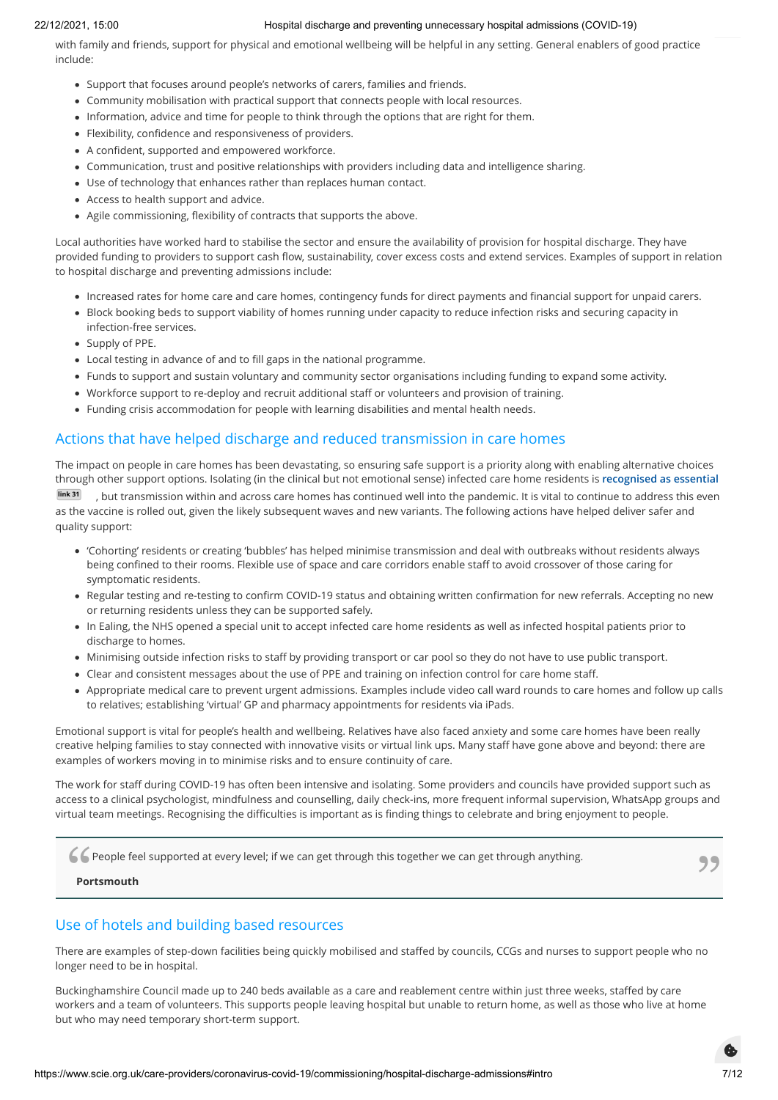with family and friends, support for physical and emotional wellbeing will be helpful in any setting. General enablers of good practice include:

- Support that focuses around people's networks of carers, families and friends.
- Community mobilisation with practical support that connects people with local resources.
- Information, advice and time for people to think through the options that are right for them.
- Flexibility, confidence and responsiveness of providers.
- A confident, supported and empowered workforce.
- Communication, trust and positive relationships with providers including data and intelligence sharing.
- Use of technology that enhances rather than replaces human contact.
- Access to health support and advice.
- Agile commissioning, flexibility of contracts that supports the above.

Local authorities have worked hard to stabilise the sector and ensure the availability of provision for hospital discharge. They have provided funding to providers to support cash flow, sustainability, cover excess costs and extend services. Examples of support in relation to hospital discharge and preventing admissions include:

- Increased rates for home care and care homes, contingency funds for direct payments and financial support for unpaid carers.
- Block booking beds to support viability of homes running under capacity to reduce infection risks and securing capacity in infection-free services.
- Supply of PPE.
- Local testing in advance of and to fill gaps in the national programme.
- Funds to support and sustain voluntary and community sector organisations including funding to expand some activity.
- Workforce support to re-deploy and recruit additional staff or volunteers and provision of training.
- Funding crisis accommodation for people with learning disabilities and mental health needs.

# Actions that have helped discharge and reduced transmission in care homes

The impact on people in care homes has been devastating, so ensuring safe support is a priority along with enabling alternative choices through other support options. Isolating (in the clinical but not emotional sense) infected care home residents is **recognised as essential link 31** [, but transmission within and across care homes has continued well into the pandemic. It is vital to continue to address this even](https://www.bgs.org.uk/resources/covid-19-managing-the-covid-19-pandemic-in-care-homes) as the vaccine is rolled out, given the likely subsequent waves and new variants. The following actions have helped deliver safer and quality support:

- 'Cohorting' residents or creating 'bubbles' has helped minimise transmission and deal with outbreaks without residents always being confined to their rooms. Flexible use of space and care corridors enable staff to avoid crossover of those caring for symptomatic residents.
- Regular testing and re-testing to confirm COVID-19 status and obtaining written confirmation for new referrals. Accepting no new or returning residents unless they can be supported safely.
- In Ealing, the NHS opened a special unit to accept infected care home residents as well as infected hospital patients prior to discharge to homes.
- Minimising outside infection risks to staff by providing transport or car pool so they do not have to use public transport.
- Clear and consistent messages about the use of PPE and training on infection control for care home staff.
- Appropriate medical care to prevent urgent admissions. Examples include video call ward rounds to care homes and follow up calls to relatives; establishing 'virtual' GP and pharmacy appointments for residents via iPads.

Emotional support is vital for people's health and wellbeing. Relatives have also faced anxiety and some care homes have been really creative helping families to stay connected with innovative visits or virtual link ups. Many staff have gone above and beyond: there are examples of workers moving in to minimise risks and to ensure continuity of care.

The work for staff during COVID-19 has often been intensive and isolating. Some providers and councils have provided support such as access to a clinical psychologist, mindfulness and counselling, daily check-ins, more frequent informal supervision, WhatsApp groups and virtual team meetings. Recognising the difficulties is important as is finding things to celebrate and bring enjoyment to people.

C People feel supported at every level; if we can get through this together we can get through anything.

#### **Portsmouth**

# Use of hotels and building based resources

There are examples of step-down facilities being quickly mobilised and staffed by councils, CCGs and nurses to support people who no longer need to be in hospital.

Buckinghamshire Council made up to 240 beds available as a care and reablement centre within just three weeks, staffed by care workers and a team of volunteers. This supports people leaving hospital but unable to return home, as well as those who live at home but who may need temporary short-term support.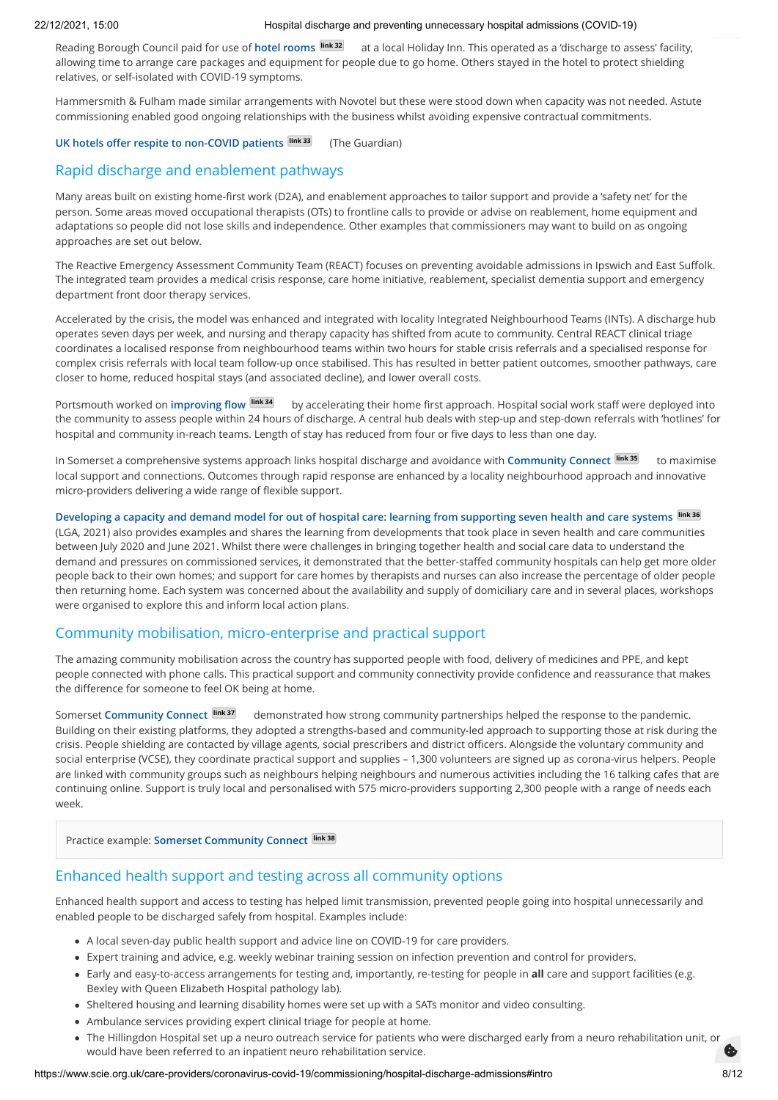Reading Borough Council paid for use of **[hotel rooms](https://healthwatchreading.co.uk/news/2020-04-24/services-turn-hotels-and-equipment-manage-out-hospital-care-during-covid-19-pandemic) link 32** at a local Holiday Inn. This operated as a 'discharge to assess' facility, allowing time to arrange care packages and equipment for people due to go home. Others stayed in the hotel to protect shielding relatives, or self-isolated with COVID-19 symptoms.

Hammersmith & Fulham made similar arrangements with Novotel but these were stood down when capacity was not needed. Astute commissioning enabled good ongoing relationships with the business whilst avoiding expensive contractual commitments.

#### **[UK hotels offer respite to non-COVID patients](https://www.theguardian.com/society/2020/may/03/care-room-with-a-view-uk-hotels-offer-respite-to-non-covid-patients) link 33** (The Guardian)

## Rapid discharge and enablement pathways

Many areas built on existing home-first work (D2A), and enablement approaches to tailor support and provide a 'safety net' for the person. Some areas moved occupational therapists (OTs) to frontline calls to provide or advise on reablement, home equipment and adaptations so people did not lose skills and independence. Other examples that commissioners may want to build on as ongoing approaches are set out below.

The Reactive Emergency Assessment Community Team (REACT) focuses on preventing avoidable admissions in Ipswich and East Suffolk. The integrated team provides a medical crisis response, care home initiative, reablement, specialist dementia support and emergency department front door therapy services.

Accelerated by the crisis, the model was enhanced and integrated with locality Integrated Neighbourhood Teams (INTs). A discharge hub operates seven days per week, and nursing and therapy capacity has shifted from acute to community. Central REACT clinical triage coordinates a localised response from neighbourhood teams within two hours for stable crisis referrals and a specialised response for complex crisis referrals with local team follow-up once stabilised. This has resulted in better patient outcomes, smoother pathways, care closer to home, reduced hospital stays (and associated decline), and lower overall costs.

Portsmouth worked on **[improving flow](https://www.local.gov.uk/covid-19-good-council-practice) link 34** by accelerating their home first approach. Hospital social work staff were deployed into the community to assess people within 24 hours of discharge. A central hub deals with step-up and step-down referrals with 'hotlines' for hospital and community in-reach teams. Length of stay has reduced from four or five days to less than one day.

In Somerset a comprehensive systems approach links hospital discharge and avoidance with **[Community Connect](https://www.somersetcommunityconnect.org.uk/) link 35** to maximise local support and connections. Outcomes through rapid response are enhanced by a locality neighbourhood approach and innovative micro-providers delivering a wide range of flexible support.

**[Developing a capacity and demand model for out of hospital care: learning from supporting seven health and care systems](https://www.local.gov.uk/publications/developing-capacity-and-demand-model-out-hospital-care) link 36** (LGA, 2021) also provides examples and shares the learning from developments that took place in seven health and care communities between July 2020 and June 2021. Whilst there were challenges in bringing together health and social care data to understand the demand and pressures on commissioned services, it demonstrated that the better-staffed community hospitals can help get more older people back to their own homes; and support for care homes by therapists and nurses can also increase the percentage of older people then returning home. Each system was concerned about the availability and supply of domiciliary care and in several places, workshops were organised to explore this and inform local action plans.

## Community mobilisation, micro-enterprise and practical support

The amazing community mobilisation across the country has supported people with food, delivery of medicines and PPE, and kept people connected with phone calls. This practical support and community connectivity provide confidence and reassurance that makes the difference for someone to feel OK being at home.

Somerset **[Community Connect](https://www.somersetcommunityconnect.org.uk/)**  $\frac{\text{link }37}{\text{else}}$  demonstrated how strong community partnerships helped the response to the pandemic. Building on their existing platforms, they adopted a strengths-based and community-led approach to supporting those at risk during the crisis. People shielding are contacted by village agents, social prescribers and district officers. Alongside the voluntary community and social enterprise (VCSE), they coordinate practical support and supplies – 1,300 volunteers are signed up as corona-virus helpers. People are linked with community groups such as neighbours helping neighbours and numerous activities including the 16 talking cafes that are continuing online. Support is truly local and personalised with 575 micro-providers supporting 2,300 people with a range of needs each week.

Practice example: **[Somerset Community Connect](https://www.scie.org.uk/care-providers/coronavirus-covid-19/commissioning/hospital-discharge-admissions/practice-examples#somerset) link 38**

## Enhanced health support and testing across all community options

Enhanced health support and access to testing has helped limit transmission, prevented people going into hospital unnecessarily and enabled people to be discharged safely from hospital. Examples include:

- A local seven-day public health support and advice line on COVID-19 for care providers.
- Expert training and advice, e.g. weekly webinar training session on infection prevention and control for providers.
- Early and easy-to-access arrangements for testing and, importantly, re-testing for people in **all** care and support facilities (e.g. Bexley with Queen Elizabeth Hospital pathology lab).
- Sheltered housing and learning disability homes were set up with a SATs monitor and video consulting.
- Ambulance services providing expert clinical triage for people at home.
- The Hillingdon Hospital set up a neuro outreach service for patients who were discharged early from a neuro rehabilitation unit, or would have been referred to an inpatient neuro rehabilitation service.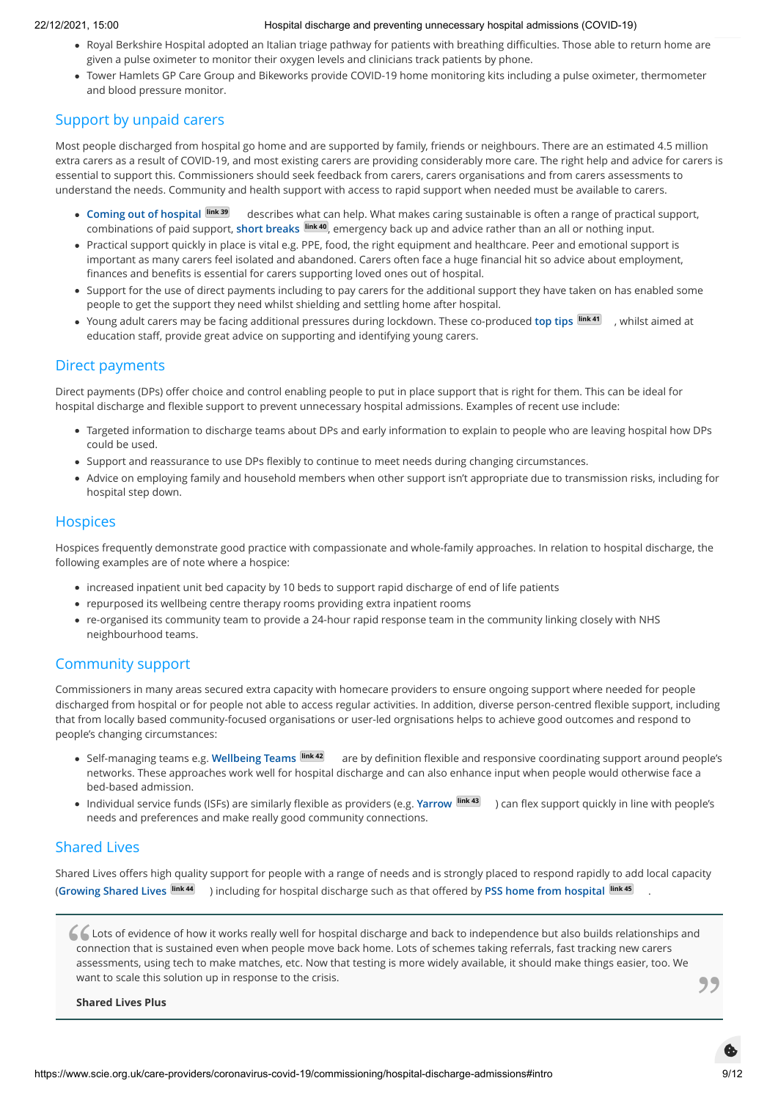- Royal Berkshire Hospital adopted an Italian triage pathway for patients with breathing difficulties. Those able to return home are given a pulse oximeter to monitor their oxygen levels and clinicians track patients by phone.
- Tower Hamlets GP Care Group and Bikeworks provide COVID-19 home monitoring kits including a pulse oximeter, thermometer and blood pressure monitor.

# Support by unpaid carers

Most people discharged from hospital go home and are supported by family, friends or neighbours. There are an estimated 4.5 million extra carers as a result of COVID-19, and most existing carers are providing considerably more care. The right help and advice for carers is essential to support this. Commissioners should seek feedback from carers, carers organisations and from carers assessments to understand the needs. Community and health support with access to rapid support when needed must be available to carers.

- **[Coming out of hospital](https://www.carersuk.org/help-and-advice/practical-support/coming-out-of-hospital) link 39** describes what can help. What makes caring sustainable is often a range of practical support, combinations of paid support, **[short breaks](https://www.scie.org.uk/publications/briefings/briefing05/) link 40** , emergency back up and advice rather than an all or nothing input.
- Practical support quickly in place is vital e.g. PPE, food, the right equipment and healthcare. Peer and emotional support is important as many carers feel isolated and abandoned. Carers often face a huge financial hit so advice about employment, finances and benefits is essential for carers supporting loved ones out of hospital.
- Support for the use of direct payments including to pay carers for the additional support they have taken on has enabled some people to get the support they need whilst shielding and settling home after hospital.
- Young adult carers may be facing additional pressures during lockdown. These co-produced **[top tips](https://www.actionforcarers.org.uk/wp-content/uploads/2020/06/Top-tips-on-identifying-and-supporting-young-carers-during-Covid19-how-education-staff-can-help.pdf) link 41** , whilst aimed at education staff, provide great advice on supporting and identifying young carers.

# Direct payments

Direct payments (DPs) offer choice and control enabling people to put in place support that is right for them. This can be ideal for hospital discharge and flexible support to prevent unnecessary hospital admissions. Examples of recent use include:

- Targeted information to discharge teams about DPs and early information to explain to people who are leaving hospital how DPs could be used.
- Support and reassurance to use DPs flexibly to continue to meet needs during changing circumstances.
- Advice on employing family and household members when other support isn't appropriate due to transmission risks, including for hospital step down.

## **Hospices**

Hospices frequently demonstrate good practice with compassionate and whole-family approaches. In relation to hospital discharge, the following examples are of note where a hospice:

- increased inpatient unit bed capacity by 10 beds to support rapid discharge of end of life patients
- repurposed its wellbeing centre therapy rooms providing extra inpatient rooms
- re-organised its community team to provide a 24-hour rapid response team in the community linking closely with NHS neighbourhood teams.

# Community support

Commissioners in many areas secured extra capacity with homecare providers to ensure ongoing support where needed for people discharged from hospital or for people not able to access regular activities. In addition, diverse person-centred flexible support, including that from locally based community-focused organisations or user-led orgnisations helps to achieve good outcomes and respond to people's changing circumstances:

- Self-managing teams e.g. **[Wellbeing Teams](https://wellbeingteams.org/) link 42** are by definition flexible and responsive coordinating support around people's networks. These approaches work well for hospital discharge and can also enhance input when people would otherwise face a bed-based admission.
- Individual service funds (ISFs) are similarly flexible as providers (e.g. **[Yarrow](https://www.caretalk.co.uk/yarrow-a-new-model-for-supporting-adults-with-learning-disabilities/) link 43** ) can flex support quickly in line with people's needs and preferences and make really good community connections.

# Shared Lives

**Shared Lives Plus**

Shared Lives offers high quality support for people with a range of needs and is strongly placed to respond rapidly to add local capacity (**[Growing Shared Lives](https://sharedlivesplus.org.uk/news-campaigns-and-jobs/growing-shared-lives/health/) link 44** ) including for hospital discharge such as that offered by **[PSS home from hospital](http://psspeople.com/help-for-professionals/social-care/home-from-hospital) link 45** .

C Lots of evidence of how it works really well for hospital discharge and back to independence but also builds relationships and connection that is sustained even when people move back home. Lots of schemes taking referral connection that is sustained even when people move back home. Lots of schemes taking referrals, fast tracking new carers assessments, using tech to make matches, etc. Now that testing is more widely available, it should make things easier, too. We want to scale this solution up in response to the crisis.<br> **Shared Lives Plus**<br> **Shared Lives Plus**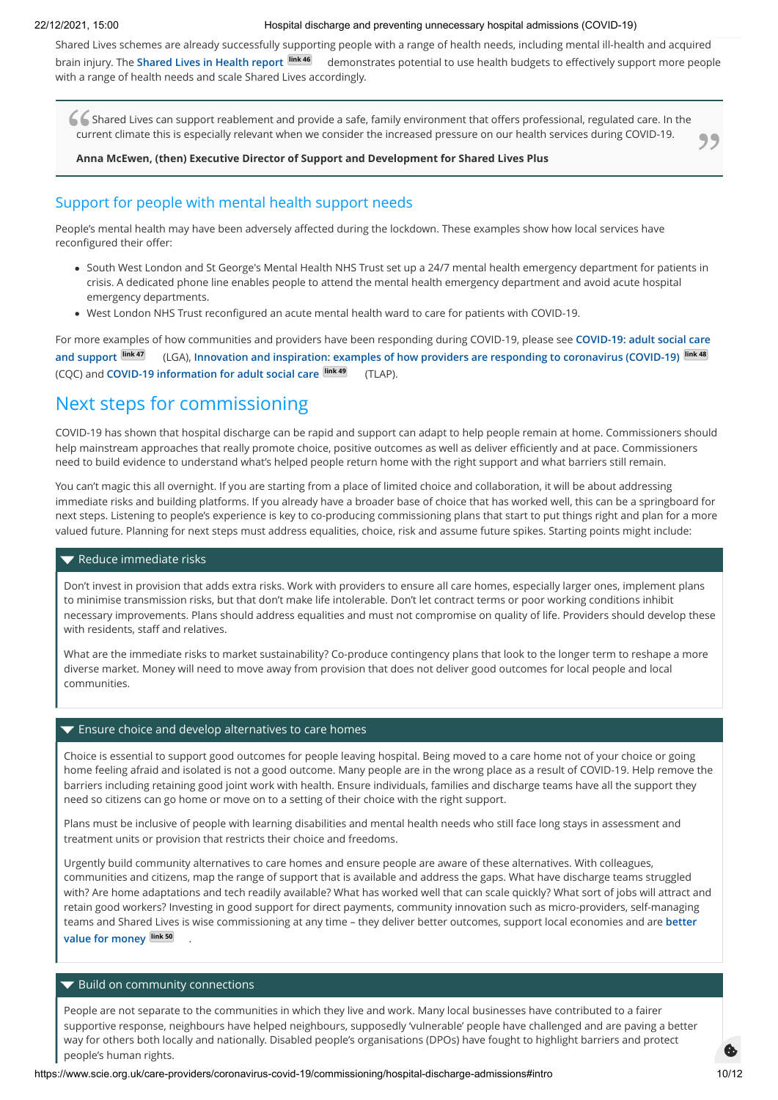Shared Lives schemes are already successfully supporting people with a range of health needs, including mental ill-health and acquired brain injury. The **[Shared Lives in Health report](https://sharedlivesplus.org.uk/wp-content/uploads/2020/06/Shared-Lives-in-Health-FINAL.pdf) link 46** demonstrates potential to use health budgets to effectively support more people with a range of health needs and scale Shared Lives accordingly.

Shared Lives can support reablement and provide a safe, family environment that offers professional, regulated care. In the current climate this is especially relevant when we consider the increased pressure on our health current climate this is especially relevant when we consider the increased pressure on our health services during COVID-19.  $\overline{\phantom{a}}$ 

**Anna McEwen, (then) Executive Director of Support and Development for Shared Lives Plus**

## Support for people with mental health support needs

People's mental health may have been adversely affected during the lockdown. These examples show how local services have reconfigured their offer:

- South West London and St George's Mental Health NHS Trust set up a 24/7 mental health emergency department for patients in crisis. A dedicated phone line enables people to attend the mental health emergency department and avoid acute hospital emergency departments.
- West London NHS Trust reconfigured an acute mental health ward to care for patients with COVID-19.

[For more examples of how communities and providers have been responding during COVID-19, please see](https://www.local.gov.uk/our-support/coronavirus-council-information-and-support/covid-19-service-information/covid-19-adult) **COVID-19: adult social care and support link 47** (LGA), **[Innovation and inspiration: examples of how providers are responding to coronavirus \(COVID-19\)](https://www.cqc.org.uk/publications/innovation-inspiration-examples-how-providers-are-responding-coronavirus-covid-19) link 48** (CQC) and **[COVID-19 information for adult social care](https://www.thinklocalactpersonal.org.uk/covid-19/) link 49** (TLAP).

# Next steps for commissioning

COVID-19 has shown that hospital discharge can be rapid and support can adapt to help people remain at home. Commissioners should help mainstream approaches that really promote choice, positive outcomes as well as deliver efficiently and at pace. Commissioners need to build evidence to understand what's helped people return home with the right support and what barriers still remain.

You can't magic this all overnight. If you are starting from a place of limited choice and collaboration, it will be about addressing immediate risks and building platforms. If you already have a broader base of choice that has worked well, this can be a springboard for next steps. Listening to people's experience is key to co-producing commissioning plans that start to put things right and plan for a more valued future. Planning for next steps must address equalities, choice, risk and assume future spikes. Starting points might include:

#### Reduce immediate risks

Don't invest in provision that adds extra risks. Work with providers to ensure all care homes, especially larger ones, implement plans to minimise transmission risks, but that don't make life intolerable. Don't let contract terms or poor working conditions inhibit necessary improvements. Plans should address equalities and must not compromise on quality of life. Providers should develop these with residents, staff and relatives.

What are the immediate risks to market sustainability? Co-produce contingency plans that look to the longer term to reshape a more diverse market. Money will need to move away from provision that does not deliver good outcomes for local people and local communities.

#### **Ensure choice and develop alternatives to care homes**

Choice is essential to support good outcomes for people leaving hospital. Being moved to a care home not of your choice or going home feeling afraid and isolated is not a good outcome. Many people are in the wrong place as a result of COVID-19. Help remove the barriers including retaining good joint work with health. Ensure individuals, families and discharge teams have all the support they need so citizens can go home or move on to a setting of their choice with the right support.

Plans must be inclusive of people with learning disabilities and mental health needs who still face long stays in assessment and treatment units or provision that restricts their choice and freedoms.

Urgently build community alternatives to care homes and ensure people are aware of these alternatives. With colleagues, communities and citizens, map the range of support that is available and address the gaps. What have discharge teams struggled with? Are home adaptations and tech readily available? What has worked well that can scale quickly? What sort of jobs will attract and retain good workers? Investing in good support for direct payments, community innovation such as micro-providers, self-managing [teams and Shared Lives is wise commissioning at any time – they deliver better outcomes, support local economies and are](https://www.scie.org.uk/transforming-care/innovation/network) **better value for money link 50** .

#### $\blacktriangledown$  Build on community connections

People are not separate to the communities in which they live and work. Many local businesses have contributed to a fairer supportive response, neighbours have helped neighbours, supposedly 'vulnerable' people have challenged and are paving a better way for others both locally and nationally. Disabled people's organisations (DPOs) have fought to highlight barriers and protect people's human rights.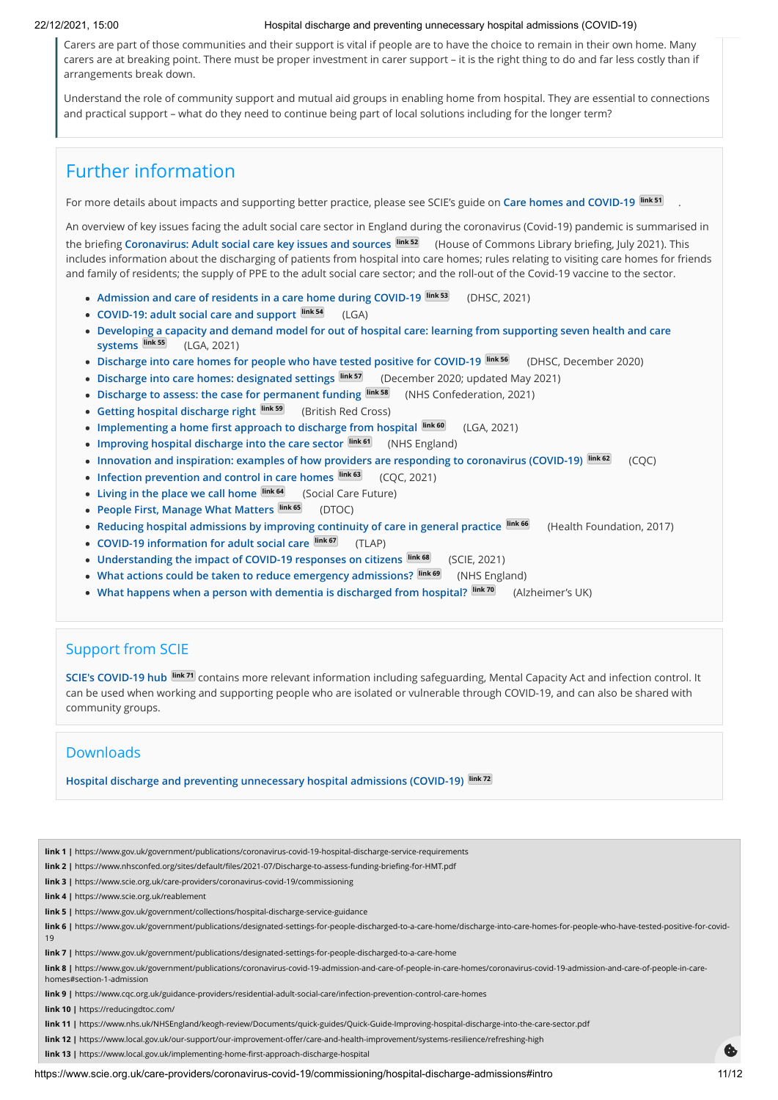Carers are part of those communities and their support is vital if people are to have the choice to remain in their own home. Many carers are at breaking point. There must be proper investment in carer support – it is the right thing to do and far less costly than if arrangements break down.

Understand the role of community support and mutual aid groups in enabling home from hospital. They are essential to connections and practical support – what do they need to continue being part of local solutions including for the longer term?

# Further information

For more details about impacts and supporting better practice, please see SCIE's guide on **[Care homes and COVID-19](https://www.scie.org.uk/care-providers/coronavirus-covid-19/care-homes) link 51**

An overview of key issues facing the adult social care sector in England during the coronavirus (Covid-19) pandemic is summarised in the briefing **[Coronavirus: Adult social care key issues and sources](https://researchbriefings.files.parliament.uk/documents/CBP-9019/CBP-9019.pdf) link 52** (House of Commons Library briefing, July 2021). This includes information about the discharging of patients from hospital into care homes; rules relating to visiting care homes for friends and family of residents; the supply of PPE to the adult social care sector; and the roll-out of the Covid-19 vaccine to the sector.

- **[Admission and care of residents in a care home during COVID-19](https://www.gov.uk/government/publications/coronavirus-covid-19-admission-and-care-of-people-in-care-homes/coronavirus-covid-19-admission-and-care-of-people-in-care-homes#section-1-admission) link 53** (DHSC, 2021)
- **[COVID-19: adult social care and support](https://www.local.gov.uk/our-support/coronavirus-council-information-and-support/covid-19-service-information/covid-19-adult) link 54** (LGA)
- **[Developing a capacity and demand model for out of hospital care: learning from supporting seven health and care](https://www.local.gov.uk/publications/developing-capacity-and-demand-model-out-hospital-care) systems link 55** (LGA, 2021)
- **[Discharge into care homes for people who have tested positive for COVID-19](https://www.gov.uk/government/publications/designated-settings-for-people-discharged-to-a-care-home/discharge-into-care-homes-for-people-who-have-tested-positive-for-covid-19) link 56** (DHSC, December 2020)
- **[Discharge into care homes: designated settings](https://www.gov.uk/government/publications/designated-settings-for-people-discharged-to-a-care-home) link 57** (December 2020; updated May 2021)
- [Discharge to assess: the case for permanent funding](https://www.nhsconfed.org/sites/default/files/2021-07/Discharge-to-assess-funding-briefing-for-HMT.pdf) **Link 58** (NHS Confederation, 2021)
- **[Getting hospital discharge right](https://www.redcross.org.uk/about-us/what-we-do/we-speak-up-for-change/more-support-when-leaving-hospital/getting-hospital-discharge-right#Our%20recommendations) link 59** (British Red Cross)
- **[Implementing a home first approach to discharge from hospital](https://www.local.gov.uk/implementing-home-first-approach-discharge-hospital) link 60** (LGA, 2021)
- **[Improving hospital discharge into the care sector](https://www.nhs.uk/NHSEngland/keogh-review/Documents/quick-guides/Quick-Guide-Improving-hospital-discharge-into-the-care-sector.pdf) <b>link 61** (NHS England)
- **[Innovation and inspiration: examples of how providers are responding to coronavirus \(COVID-19\)](https://www.cqc.org.uk/publications/innovation-inspiration-examples-how-providers-are-responding-coronavirus-covid-19) <b>link 62** (CQC)
- [Infection prevention and control in care homes](https://www.cqc.org.uk/guidance-providers/residential-adult-social-care/infection-prevention-control-care-homes) **link 63** (COC, 2021)
- **•** [Living in the place we call home](https://socialcarefuture.org.uk/living-in-the-place-we-call-home/) **link 64** (Social Care Future)
- **[People First, Manage What Matters](https://reducingdtoc.com/) link 65** (DTOC)
- **[Reducing hospital admissions by improving continuity of care in general practice](https://www.health.org.uk/publications/reducing-hospital-admissions-by-improving-continuity-of-care-in-general-practice) link 66** (Health Foundation, 2017)
- **[COVID-19 information for adult social care](https://www.thinklocalactpersonal.org.uk/covid-19/) link 67** (TLAP)
- [Understanding the impact of COVID-19 responses on citizens](https://www.scie.org.uk/care-providers/coronavirus-covid-19/commissioning/impact-on-citizens) **link 68** (SCIE, 2021)
- **[What actions could be taken to reduce emergency admissions?](https://www.england.nhs.uk/wp-content/uploads/2014/03/red-acsc-em-admissions.pdf) link 69** (NHS England)
- **[What happens when a person with dementia is discharged from hospital?](https://www.alzheimers.org.uk/get-support/help-dementia-care/hospital-discharge) link 70** (Alzheimer's UK)

# Support from SCIE

**[SCIE's COVID-19 hub](https://www.scie.org.uk/care-providers/coronavirus-covid-19) link 71** contains more relevant information including safeguarding, Mental Capacity Act and infection control. It can be used when working and supporting people who are isolated or vulnerable through COVID-19, and can also be shared with community groups.

# Downloads

**[Hospital discharge and preventing unnecessary hospital admissions \(COVID-19\)](https://www.scie.org.uk/files/care-providers/coronavirus/hospital-discharge-during-covid-19.pdf) link 72**

**link 1 |** https://www.gov.uk/government/publications/coronavirus-covid-19-hospital-discharge-service-requirements

- **link 2 |** https://www.nhsconfed.org/sites/default/files/2021-07/Discharge-to-assess-funding-briefing-for-HMT.pdf
- **link 3 |** https://www.scie.org.uk/care-providers/coronavirus-covid-19/commissioning

**link 4 |** https://www.scie.org.uk/reablement

**link 5 |** https://www.gov.uk/government/collections/hospital-discharge-service-guidance

**link 6 |** https://www.gov.uk/government/publications/designated-settings-for-people-discharged-to-a-care-home/discharge-into-care-homes-for-people-who-have-tested-positive-for-covid-19

**link 7 |** https://www.gov.uk/government/publications/designated-settings-for-people-discharged-to-a-care-home

**link 8 |** https://www.gov.uk/government/publications/coronavirus-covid-19-admission-and-care-of-people-in-care-homes/coronavirus-covid-19-admission-and-care-of-people-in-carehomes#section-1-admission

**link 9 |** https://www.cqc.org.uk/guidance-providers/residential-adult-social-care/infection-prevention-control-care-homes

**link 10 |** https://reducingdtoc.com/

**link 11 |** https://www.nhs.uk/NHSEngland/keogh-review/Documents/quick-guides/Quick-Guide-Improving-hospital-discharge-into-the-care-sector.pdf

**link 12 |** https://www.local.gov.uk/our-support/our-improvement-offer/care-and-health-improvement/systems-resilience/refreshing-high

**link 13 |** https://www.local.gov.uk/implementing-home-first-approach-discharge-hospital

.